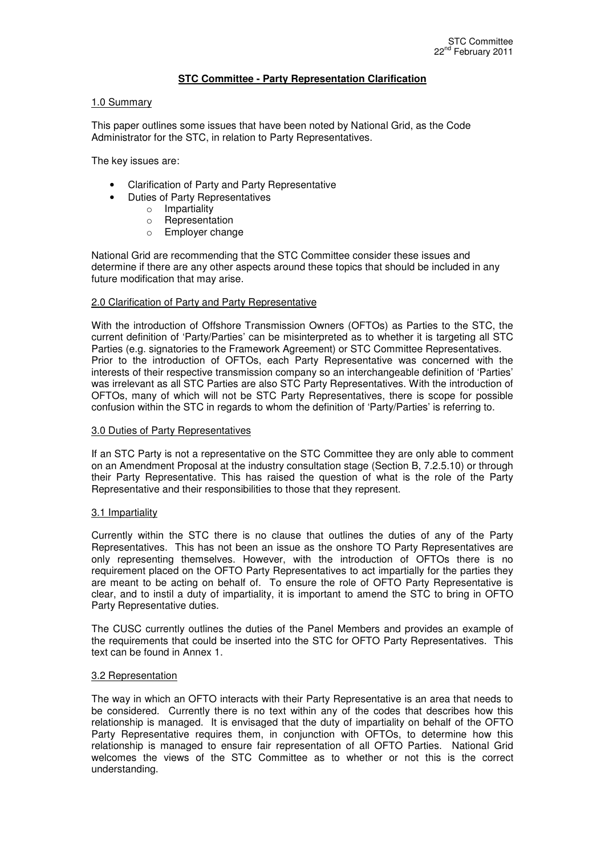## **STC Committee - Party Representation Clarification**

### 1.0 Summary

This paper outlines some issues that have been noted by National Grid, as the Code Administrator for the STC, in relation to Party Representatives.

The key issues are:

- Clarification of Party and Party Representative
- Duties of Party Representatives
	- o Impartiality
		- o Representation
		- o Employer change

National Grid are recommending that the STC Committee consider these issues and determine if there are any other aspects around these topics that should be included in any future modification that may arise.

#### 2.0 Clarification of Party and Party Representative

With the introduction of Offshore Transmission Owners (OFTOs) as Parties to the STC, the current definition of 'Party/Parties' can be misinterpreted as to whether it is targeting all STC Parties (e.g. signatories to the Framework Agreement) or STC Committee Representatives. Prior to the introduction of OFTOs, each Party Representative was concerned with the interests of their respective transmission company so an interchangeable definition of 'Parties' was irrelevant as all STC Parties are also STC Party Representatives. With the introduction of OFTOs, many of which will not be STC Party Representatives, there is scope for possible confusion within the STC in regards to whom the definition of 'Party/Parties' is referring to.

#### 3.0 Duties of Party Representatives

If an STC Party is not a representative on the STC Committee they are only able to comment on an Amendment Proposal at the industry consultation stage (Section B, 7.2.5.10) or through their Party Representative. This has raised the question of what is the role of the Party Representative and their responsibilities to those that they represent.

#### 3.1 Impartiality

Currently within the STC there is no clause that outlines the duties of any of the Party Representatives. This has not been an issue as the onshore TO Party Representatives are only representing themselves. However, with the introduction of OFTOs there is no requirement placed on the OFTO Party Representatives to act impartially for the parties they are meant to be acting on behalf of. To ensure the role of OFTO Party Representative is clear, and to instil a duty of impartiality, it is important to amend the STC to bring in OFTO Party Representative duties.

The CUSC currently outlines the duties of the Panel Members and provides an example of the requirements that could be inserted into the STC for OFTO Party Representatives. This text can be found in Annex 1.

#### 3.2 Representation

The way in which an OFTO interacts with their Party Representative is an area that needs to be considered. Currently there is no text within any of the codes that describes how this relationship is managed. It is envisaged that the duty of impartiality on behalf of the OFTO Party Representative requires them, in conjunction with OFTOs, to determine how this relationship is managed to ensure fair representation of all OFTO Parties. National Grid welcomes the views of the STC Committee as to whether or not this is the correct understanding.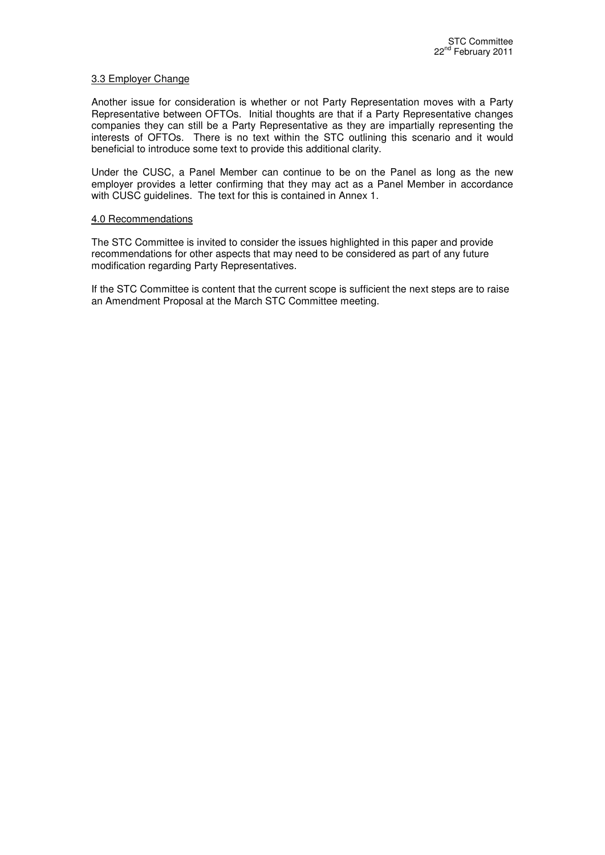### 3.3 Employer Change

Another issue for consideration is whether or not Party Representation moves with a Party Representative between OFTOs. Initial thoughts are that if a Party Representative changes companies they can still be a Party Representative as they are impartially representing the interests of OFTOs. There is no text within the STC outlining this scenario and it would beneficial to introduce some text to provide this additional clarity.

Under the CUSC, a Panel Member can continue to be on the Panel as long as the new employer provides a letter confirming that they may act as a Panel Member in accordance with CUSC guidelines. The text for this is contained in Annex 1.

#### 4.0 Recommendations

The STC Committee is invited to consider the issues highlighted in this paper and provide recommendations for other aspects that may need to be considered as part of any future modification regarding Party Representatives.

If the STC Committee is content that the current scope is sufficient the next steps are to raise an Amendment Proposal at the March STC Committee meeting.